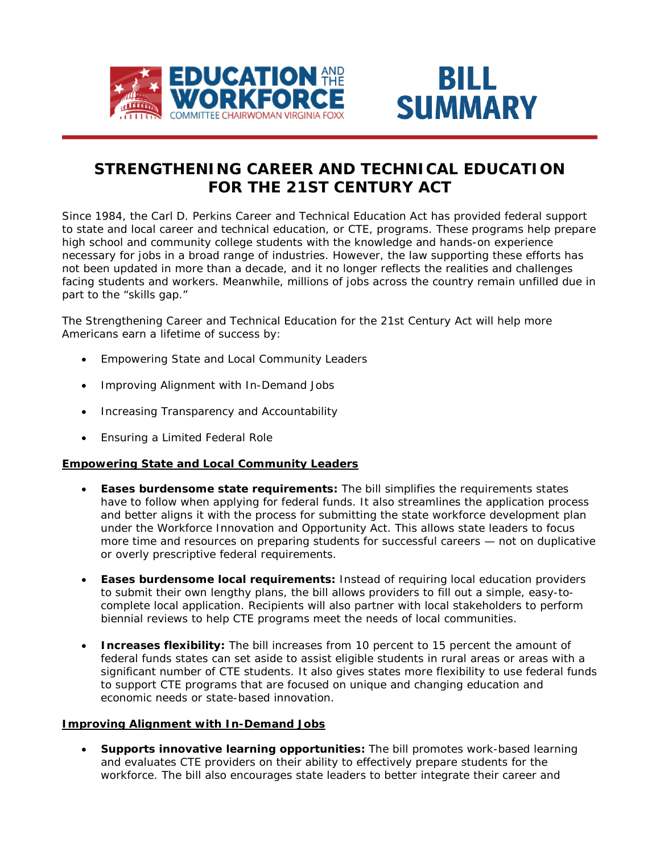



# **STRENGTHENING CAREER AND TECHNICAL EDUCATION FOR THE 21ST CENTURY ACT**

Since 1984, the *Carl D. Perkins Career and Technical Education Act* has provided federal support to state and local career and technical education, or CTE, programs. These programs help prepare high school and community college students with the knowledge and hands-on experience necessary for jobs in a broad range of industries. However, the law supporting these efforts has not been updated in more than a decade, and it no longer reflects the realities and challenges facing students and workers. Meanwhile, millions of jobs across the country remain unfilled due in part to the "skills gap."

The *Strengthening Career and Technical Education for the 21st Century Act* will help more Americans earn a lifetime of success by:

- Empowering State and Local Community Leaders
- Improving Alignment with In-Demand Jobs
- Increasing Transparency and Accountability
- Ensuring a Limited Federal Role

# **Empowering State and Local Community Leaders**

- **Eases burdensome state requirements:** The bill simplifies the requirements states have to follow when applying for federal funds. It also streamlines the application process and better aligns it with the process for submitting the state workforce development plan under the *Workforce Innovation and Opportunity Act*. This allows state leaders to focus more time and resources on preparing students for successful careers — not on duplicative or overly prescriptive federal requirements.
- **Eases burdensome local requirements:** Instead of requiring local education providers to submit their own lengthy plans, the bill allows providers to fill out a simple, easy-tocomplete local application. Recipients will also partner with local stakeholders to perform biennial reviews to help CTE programs meet the needs of local communities.
- **Increases flexibility:** The bill increases from 10 percent to 15 percent the amount of federal funds states can set aside to assist eligible students in rural areas or areas with a significant number of CTE students. It also gives states more flexibility to use federal funds to support CTE programs that are focused on unique and changing education and economic needs or state-based innovation.

# **Improving Alignment with In-Demand Jobs**

• **Supports innovative learning opportunities:** The bill promotes work-based learning and evaluates CTE providers on their ability to effectively prepare students for the workforce. The bill also encourages state leaders to better integrate their career and